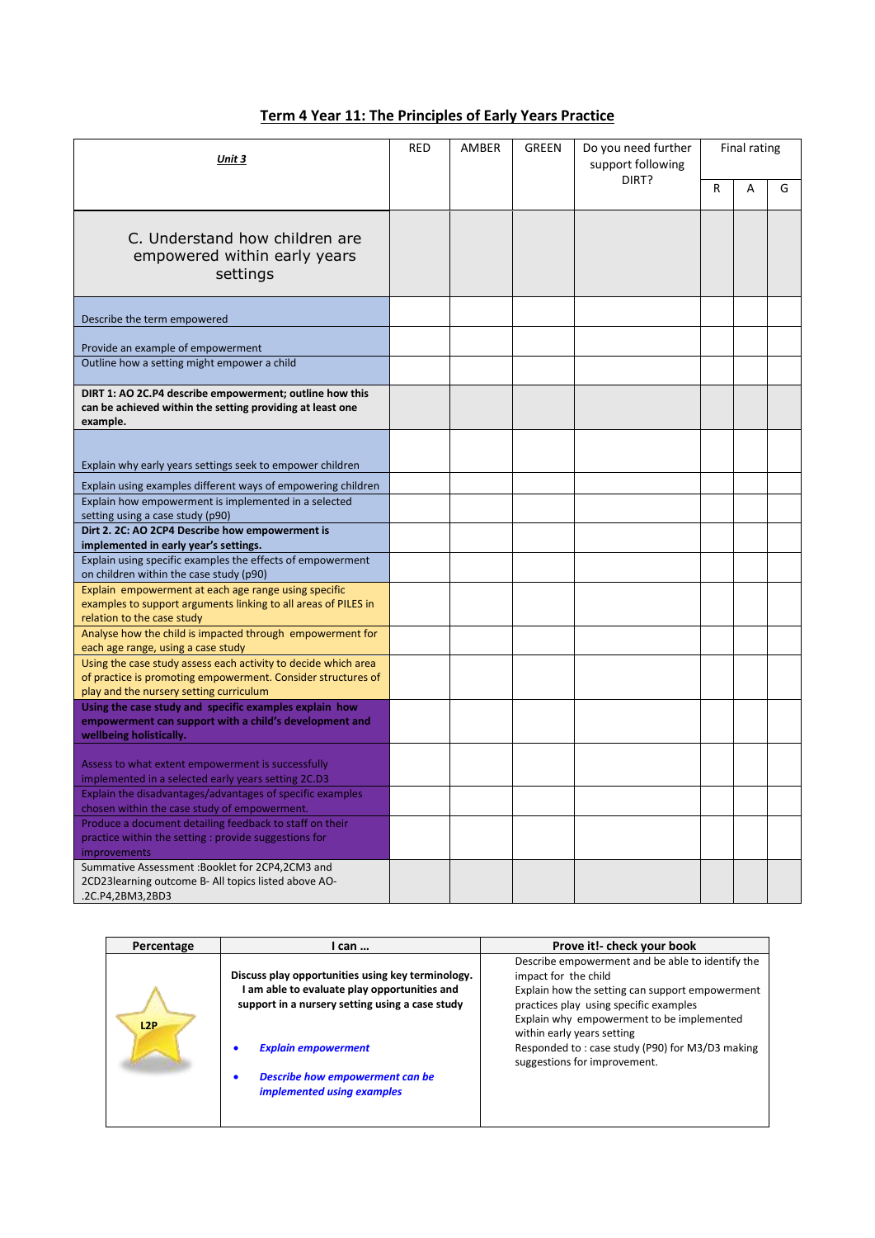## **Term 4 Year 11: The Principles of Early Years Practice**

| Unit 3                                                                                                                                                                    | RED | AMBER | <b>GREEN</b> | Do you need further<br>support following | Final rating |   |   |
|---------------------------------------------------------------------------------------------------------------------------------------------------------------------------|-----|-------|--------------|------------------------------------------|--------------|---|---|
|                                                                                                                                                                           |     |       |              | DIRT?                                    | R            | A | G |
| C. Understand how children are<br>empowered within early years<br>settings                                                                                                |     |       |              |                                          |              |   |   |
| Describe the term empowered                                                                                                                                               |     |       |              |                                          |              |   |   |
| Provide an example of empowerment                                                                                                                                         |     |       |              |                                          |              |   |   |
| Outline how a setting might empower a child                                                                                                                               |     |       |              |                                          |              |   |   |
| DIRT 1: AO 2C.P4 describe empowerment; outline how this<br>can be achieved within the setting providing at least one<br>example.                                          |     |       |              |                                          |              |   |   |
|                                                                                                                                                                           |     |       |              |                                          |              |   |   |
| Explain why early years settings seek to empower children                                                                                                                 |     |       |              |                                          |              |   |   |
| Explain using examples different ways of empowering children                                                                                                              |     |       |              |                                          |              |   |   |
| Explain how empowerment is implemented in a selected<br>setting using a case study (p90)                                                                                  |     |       |              |                                          |              |   |   |
| Dirt 2. 2C: AO 2CP4 Describe how empowerment is<br>implemented in early year's settings.                                                                                  |     |       |              |                                          |              |   |   |
| Explain using specific examples the effects of empowerment<br>on children within the case study (p90)                                                                     |     |       |              |                                          |              |   |   |
| Explain empowerment at each age range using specific<br>examples to support arguments linking to all areas of PILES in<br>relation to the case study                      |     |       |              |                                          |              |   |   |
| Analyse how the child is impacted through empowerment for<br>each age range, using a case study                                                                           |     |       |              |                                          |              |   |   |
| Using the case study assess each activity to decide which area<br>of practice is promoting empowerment. Consider structures of<br>play and the nursery setting curriculum |     |       |              |                                          |              |   |   |
| Using the case study and specific examples explain how<br>empowerment can support with a child's development and<br>wellbeing holistically.                               |     |       |              |                                          |              |   |   |
| Assess to what extent empowerment is successfully<br>implemented in a selected early years setting 2C.D3                                                                  |     |       |              |                                          |              |   |   |
| Explain the disadvantages/advantages of specific examples<br>chosen within the case study of empowerment.                                                                 |     |       |              |                                          |              |   |   |
| Produce a document detailing feedback to staff on their<br>practice within the setting : provide suggestions for<br><b>improvements</b>                                   |     |       |              |                                          |              |   |   |
| Summative Assessment : Booklet for 2CP4,2CM3 and<br>2CD23learning outcome B- All topics listed above AO-<br>.2C.P4,2BM3,2BD3                                              |     |       |              |                                          |              |   |   |

| Percentage | I can                                                                                                                                                                                                                                                    | Prove it!- check your book                                                                                                                                                                                                                                                                                                          |
|------------|----------------------------------------------------------------------------------------------------------------------------------------------------------------------------------------------------------------------------------------------------------|-------------------------------------------------------------------------------------------------------------------------------------------------------------------------------------------------------------------------------------------------------------------------------------------------------------------------------------|
| L2P        | Discuss play opportunities using key terminology.<br>am able to evaluate play opportunities and<br>support in a nursery setting using a case study<br><b>Explain empowerment</b><br>Describe how empowerment can be<br><i>implemented using examples</i> | Describe empowerment and be able to identify the<br>impact for the child<br>Explain how the setting can support empowerment<br>practices play using specific examples<br>Explain why empowerment to be implemented<br>within early years setting<br>Responded to: case study (P90) for M3/D3 making<br>suggestions for improvement. |